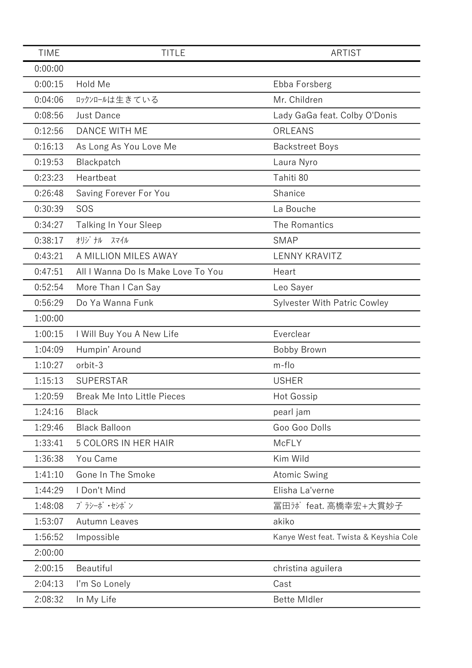| <b>TIME</b> | <b>TITLE</b>                       | <b>ARTIST</b>                          |
|-------------|------------------------------------|----------------------------------------|
| 0:00:00     |                                    |                                        |
| 0:00:15     | Hold Me                            | Ebba Forsberg                          |
| 0:04:06     | ロックンロールは生きている                      | Mr. Children                           |
| 0:08:56     | <b>Just Dance</b>                  | Lady GaGa feat. Colby O'Donis          |
| 0:12:56     | DANCE WITH ME                      | ORLEANS                                |
| 0:16:13     | As Long As You Love Me             | <b>Backstreet Boys</b>                 |
| 0:19:53     | Blackpatch                         | Laura Nyro                             |
| 0:23:23     | Heartbeat                          | Tahiti 80                              |
| 0:26:48     | Saving Forever For You             | Shanice                                |
| 0:30:39     | SOS                                | La Bouche                              |
| 0:34:27     | Talking In Your Sleep              | The Romantics                          |
| 0:38:17     | オリジナル<br>スマイル                      | <b>SMAP</b>                            |
| 0:43:21     | A MILLION MILES AWAY               | <b>LENNY KRAVITZ</b>                   |
| 0:47:51     | All I Wanna Do Is Make Love To You | Heart                                  |
| 0:52:54     | More Than I Can Say                | Leo Sayer                              |
| 0:56:29     | Do Ya Wanna Funk                   | <b>Sylvester With Patric Cowley</b>    |
| 1:00:00     |                                    |                                        |
| 1:00:15     | I Will Buy You A New Life          | Everclear                              |
| 1:04:09     | Humpin' Around                     | Bobby Brown                            |
| 1:10:27     | orbit-3                            | m-flo                                  |
| 1:15:13     | <b>SUPERSTAR</b>                   | <b>USHER</b>                           |
| 1:20:59     | <b>Break Me Into Little Pieces</b> | <b>Hot Gossip</b>                      |
| 1:24:16     | <b>Black</b>                       | pearl jam                              |
| 1:29:46     | <b>Black Balloon</b>               | Goo Goo Dolls                          |
| 1:33:41     | 5 COLORS IN HER HAIR               | McFLY                                  |
| 1:36:38     | You Came                           | Kim Wild                               |
| 1:41:10     | Gone In The Smoke                  | Atomic Swing                           |
| 1:44:29     | I Don't Mind                       | Elisha La'verne                        |
| 1:48:08     | プラシーボ・セシボン                         | 冨田カボ feat. 高橋幸宏+大貫妙子                   |
| 1:53:07     | <b>Autumn Leaves</b>               | akiko                                  |
| 1:56:52     | Impossible                         | Kanye West feat. Twista & Keyshia Cole |
| 2:00:00     |                                    |                                        |
| 2:00:15     | Beautiful                          | christina aguilera                     |
| 2:04:13     | I'm So Lonely                      | Cast                                   |
| 2:08:32     | In My Life                         | <b>Bette MIdler</b>                    |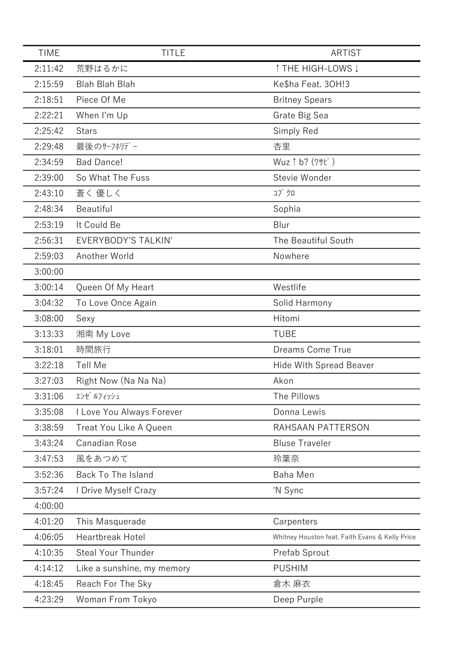| <b>TIME</b> | <b>TITLE</b>               | <b>ARTIST</b>                                   |
|-------------|----------------------------|-------------------------------------------------|
| 2:11:42     | 荒野はるかに                     | ↑ THE HIGH-LOWS ↓                               |
| 2:15:59     | <b>Blah Blah Blah</b>      | Ke\$ha Feat. 30H!3                              |
| 2:18:51     | Piece Of Me                | <b>Britney Spears</b>                           |
| 2:22:21     | When I'm Up                | Grate Big Sea                                   |
| 2:25:42     | <b>Stars</b>               | Simply Red                                      |
| 2:29:48     | 最後のサーフホリデー                 | 杏里                                              |
| 2:34:59     | <b>Bad Dance!</b>          | Wuz $\uparrow$ b? (7# $\uparrow$ )              |
| 2:39:00     | So What The Fuss           | Stevie Wonder                                   |
| 2:43:10     | 蒼く 優しく                     | コブクロ                                            |
| 2:48:34     | Beautiful                  | Sophia                                          |
| 2:53:19     | It Could Be                | Blur                                            |
| 2:56:31     | EVERYBODY'S TALKIN'        | The Beautiful South                             |
| 2:59:03     | Another World              | Nowhere                                         |
| 3:00:00     |                            |                                                 |
| 3:00:14     | Queen Of My Heart          | Westlife                                        |
| 3:04:32     | To Love Once Again         | Solid Harmony                                   |
| 3:08:00     | Sexy                       | Hitomi                                          |
| 3:13:33     | 湘南 My Love                 | <b>TUBE</b>                                     |
| 3:18:01     | 時間旅行                       | Dreams Come True                                |
| 3:22:18     | Tell Me                    | Hide With Spread Beaver                         |
| 3:27:03     | Right Now (Na Na Na)       | Akon                                            |
| 3:31:06     | エンゼ ルフィッシュ                 | The Pillows                                     |
| 3:35:08     | I Love You Always Forever  | Donna Lewis                                     |
| 3:38:59     | Treat You Like A Queen     | RAHSAAN PATTERSON                               |
| 3:43:24     | Canadian Rose              | <b>Bluse Traveler</b>                           |
| 3:47:53     | 風をあつめて                     | 玲葉奈                                             |
| 3:52:36     | Back To The Island         | Baha Men                                        |
| 3:57:24     | I Drive Myself Crazy       | 'N Sync                                         |
| 4:00:00     |                            |                                                 |
| 4:01:20     | This Masquerade            | Carpenters                                      |
| 4:06:05     | <b>Heartbreak Hotel</b>    | Whitney Houston feat. Faith Evans & Kelly Price |
| 4:10:35     | <b>Steal Your Thunder</b>  | Prefab Sprout                                   |
| 4:14:12     | Like a sunshine, my memory | <b>PUSHIM</b>                                   |
| 4:18:45     | Reach For The Sky          | 倉木 麻衣                                           |
| 4:23:29     | Woman From Tokyo           | Deep Purple                                     |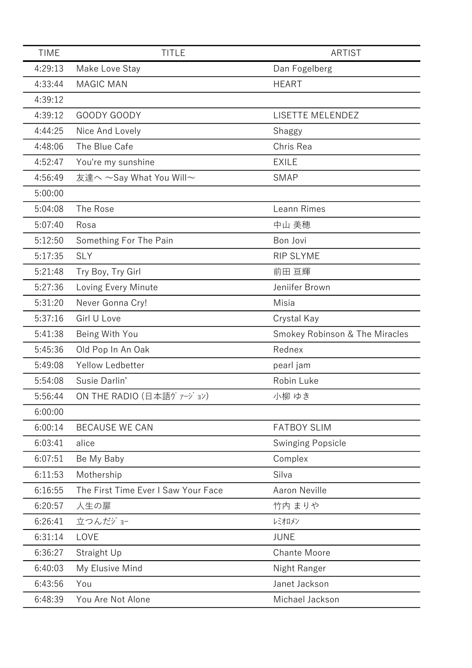| <b>TIME</b> | <b>TITLE</b>                        | <b>ARTIST</b>                  |
|-------------|-------------------------------------|--------------------------------|
| 4:29:13     | Make Love Stay                      | Dan Fogelberg                  |
| 4:33:44     | <b>MAGIC MAN</b>                    | <b>HEART</b>                   |
| 4:39:12     |                                     |                                |
| 4:39:12     | GOODY GOODY                         | LISETTE MELENDEZ               |
| 4:44:25     | Nice And Lovely                     | Shaggy                         |
| 4:48:06     | The Blue Cafe                       | Chris Rea                      |
| 4:52:47     | You're my sunshine                  | <b>EXILE</b>                   |
| 4:56:49     | 友達へ ~Say What You Will~             | <b>SMAP</b>                    |
| 5:00:00     |                                     |                                |
| 5:04:08     | The Rose                            | Leann Rimes                    |
| 5:07:40     | Rosa                                | 中山 美穂                          |
| 5:12:50     | Something For The Pain              | Bon Jovi                       |
| 5:17:35     | <b>SLY</b>                          | <b>RIP SLYME</b>               |
| 5:21:48     | Try Boy, Try Girl                   | 前田 亘輝                          |
| 5:27:36     | Loving Every Minute                 | Jeniifer Brown                 |
| 5:31:20     | Never Gonna Cry!                    | Misia                          |
| 5:37:16     | Girl U Love                         | Crystal Kay                    |
| 5:41:38     | Being With You                      | Smokey Robinson & The Miracles |
| 5:45:36     | Old Pop In An Oak                   | Rednex                         |
| 5:49:08     | Yellow Ledbetter                    | pearl jam                      |
| 5:54:08     | Susie Darlin'                       | Robin Luke                     |
| 5:56:44     | ON THE RADIO (日本語ヴァージョン)            | 小柳 ゆき                          |
| 6:00:00     |                                     |                                |
| 6:00:14     | <b>BECAUSE WE CAN</b>               | <b>FATBOY SLIM</b>             |
| 6:03:41     | alice                               | <b>Swinging Popsicle</b>       |
| 6:07:51     | Be My Baby                          | Complex                        |
| 6:11:53     | Mothership                          | Silva                          |
| 6:16:55     | The First Time Ever I Saw Your Face | <b>Aaron Neville</b>           |
| 6:20:57     | 人生の扉                                | 竹内 まりや                         |
| 6:26:41     | 立つんだジョー                             | レミオロメン                         |
| 6:31:14     | LOVE                                | <b>JUNE</b>                    |
| 6:36:27     | Straight Up                         | <b>Chante Moore</b>            |
| 6:40:03     | My Elusive Mind                     | Night Ranger                   |
| 6:43:56     | You                                 | Janet Jackson                  |
| 6:48:39     | You Are Not Alone                   | Michael Jackson                |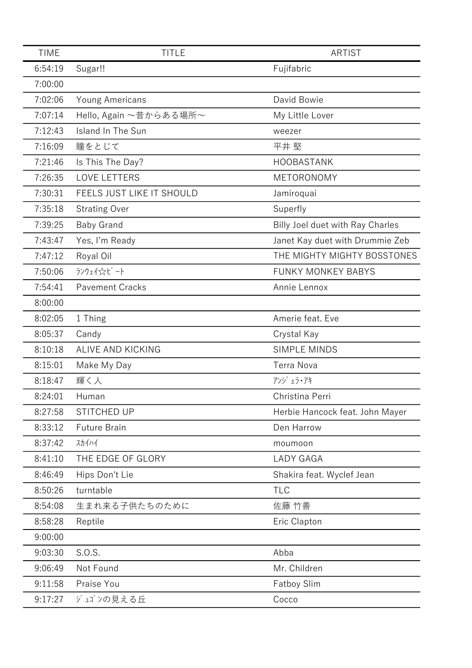| <b>TIME</b> | <b>TITLE</b>              | <b>ARTIST</b>                          |
|-------------|---------------------------|----------------------------------------|
| 6:54:19     | Sugar!!                   | Fujifabric                             |
| 7:00:00     |                           |                                        |
| 7:02:06     | Young Americans           | David Bowie                            |
| 7:07:14     | Hello, Again ~昔からある場所~    | My Little Lover                        |
| 7:12:43     | Island In The Sun         | weezer                                 |
| 7:16:09     | 瞳をとじて                     | 平井 堅                                   |
| 7:21:46     | Is This The Day?          | HOOBASTANK                             |
| 7:26:35     | <b>LOVE LETTERS</b>       | METORONOMY                             |
| 7:30:31     | FEELS JUST LIKE IT SHOULD | Jamiroquai                             |
| 7:35:18     | <b>Strating Over</b>      | Superfly                               |
| 7:39:25     | <b>Baby Grand</b>         | Billy Joel duet with Ray Charles       |
| 7:43:47     | Yes, I'm Ready            | Janet Kay duet with Drummie Zeb        |
| 7:47:12     | Royal Oil                 | THE MIGHTY MIGHTY BOSSTONES            |
| 7:50:06     | ランウェイ☆ビート                 | <b>FUNKY MONKEY BABYS</b>              |
| 7:54:41     | <b>Pavement Cracks</b>    | Annie Lennox                           |
| 8:00:00     |                           |                                        |
| 8:02:05     | 1 Thing                   | Amerie feat. Eve                       |
| 8:05:37     | Candy                     | Crystal Kay                            |
| 8:10:18     | ALIVE AND KICKING         | <b>SIMPLE MINDS</b>                    |
| 8:15:01     | Make My Day               | <b>Terra Nova</b>                      |
| 8:18:47     | 輝く人                       | $7'$ $y'$ $x$ $7$ $\cdot$ $7$ $\vdash$ |
| 8:24:01     | Human                     | Christina Perri                        |
| 8:27:58     | STITCHED UP               | Herbie Hancock feat. John Mayer        |
| 8:33:12     | <b>Future Brain</b>       | Den Harrow                             |
| 8:37:42     | スカイハイ                     | moumoon                                |
| 8:41:10     | THE EDGE OF GLORY         | <b>LADY GAGA</b>                       |
| 8:46:49     | Hips Don't Lie            | Shakira feat. Wyclef Jean              |
| 8:50:26     | turntable                 | <b>TLC</b>                             |
| 8:54:08     | 生まれ来る子供たちのために             | 佐藤 竹善                                  |
| 8:58:28     | Reptile                   | Eric Clapton                           |
| 9:00:00     |                           |                                        |
| 9:03:30     | S.O.S.                    | Abba                                   |
| 9:06:49     | Not Found                 | Mr. Children                           |
| 9:11:58     | Praise You                | <b>Fatboy Slim</b>                     |
| 9:17:27     | ジュゴンの見える丘                 | Cocco                                  |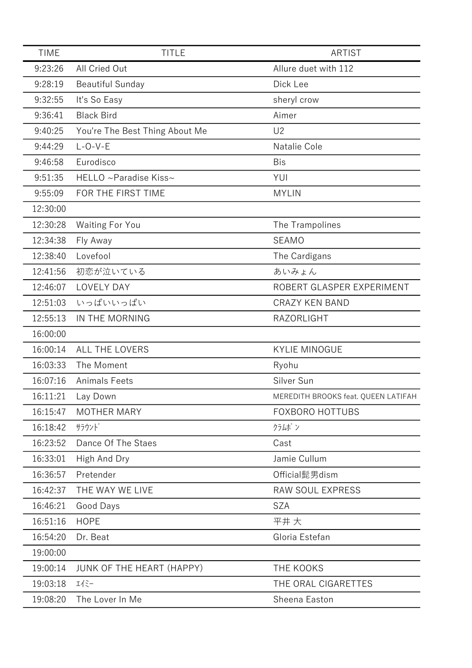| <b>TIME</b> | <b>TITLE</b>                   | ARTIST                              |
|-------------|--------------------------------|-------------------------------------|
| 9:23:26     | All Cried Out                  | Allure duet with 112                |
| 9:28:19     | <b>Beautiful Sunday</b>        | Dick Lee                            |
| 9:32:55     | It's So Easy                   | sheryl crow                         |
| 9:36:41     | <b>Black Bird</b>              | Aimer                               |
| 9:40:25     | You're The Best Thing About Me | U <sub>2</sub>                      |
| 9:44:29     | $L-O-V-E$                      | Natalie Cole                        |
| 9:46:58     | Eurodisco                      | <b>Bis</b>                          |
| 9:51:35     | HELLO ~Paradise Kiss~          | YUI                                 |
| 9:55:09     | FOR THE FIRST TIME             | <b>MYLIN</b>                        |
| 12:30:00    |                                |                                     |
| 12:30:28    | <b>Waiting For You</b>         | The Trampolines                     |
| 12:34:38    | Fly Away                       | <b>SEAMO</b>                        |
| 12:38:40    | Lovefool                       | The Cardigans                       |
| 12:41:56    | 初恋が泣いている                       | あいみょん                               |
| 12:46:07    | LOVELY DAY                     | ROBERT GLASPER EXPERIMENT           |
| 12:51:03    | いっぱいいっぱい                       | <b>CRAZY KEN BAND</b>               |
| 12:55:13    | IN THE MORNING                 | RAZORLIGHT                          |
| 16:00:00    |                                |                                     |
| 16:00:14    | ALL THE LOVERS                 | <b>KYLIE MINOGUE</b>                |
| 16:03:33    | The Moment                     | Ryohu                               |
| 16:07:16    | <b>Animals Feets</b>           | Silver Sun                          |
| 16:11:21    | Lay Down                       | MEREDITH BROOKS feat. QUEEN LATIFAH |
| 16:15:47    | <b>MOTHER MARY</b>             | <b>FOXBORO HOTTUBS</b>              |
| 16:18:42    | サラウンド                          | クラムボン                               |
| 16:23:52    | Dance Of The Staes             | Cast                                |
| 16:33:01    | High And Dry                   | Jamie Cullum                        |
| 16:36:57    | Pretender                      | Official髭男dism                      |
| 16:42:37    | THE WAY WE LIVE                | RAW SOUL EXPRESS                    |
| 16:46:21    | Good Days                      | <b>SZA</b>                          |
| 16:51:16    | <b>HOPE</b>                    | 平井大                                 |
| 16:54:20    | Dr. Beat                       | Gloria Estefan                      |
| 19:00:00    |                                |                                     |
| 19:00:14    | JUNK OF THE HEART (HAPPY)      | THE KOOKS                           |
| 19:03:18    | $I(\tilde{z}-$                 | THE ORAL CIGARETTES                 |
| 19:08:20    | The Lover In Me                | Sheena Easton                       |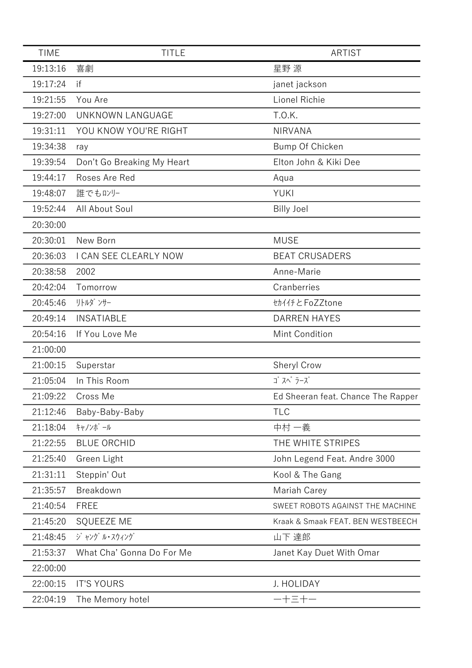| <b>TIME</b> | <b>TITLE</b>               | ARTIST                             |
|-------------|----------------------------|------------------------------------|
| 19:13:16    | 喜劇                         | 星野 源                               |
| 19:17:24    | if                         | janet jackson                      |
| 19:21:55    | You Are                    | Lionel Richie                      |
| 19:27:00    | UNKNOWN LANGUAGE           | T.O.K.                             |
| 19:31:11    | YOU KNOW YOU'RE RIGHT      | <b>NIRVANA</b>                     |
| 19:34:38    | ray                        | Bump Of Chicken                    |
| 19:39:54    | Don't Go Breaking My Heart | Elton John & Kiki Dee              |
| 19:44:17    | Roses Are Red              | Aqua                               |
| 19:48:07    | 誰でもロンリー                    | <b>YUKI</b>                        |
| 19:52:44    | All About Soul             | <b>Billy Joel</b>                  |
| 20:30:00    |                            |                                    |
| 20:30:01    | New Born                   | <b>MUSE</b>                        |
| 20:36:03    | I CAN SEE CLEARLY NOW      | <b>BEAT CRUSADERS</b>              |
| 20:38:58    | 2002                       | Anne-Marie                         |
| 20:42:04    | Tomorrow                   | Cranberries                        |
| 20:45:46    | リトルダ ンサー                   | セカイイチとFoZZtone                     |
| 20:49:14    | <b>INSATIABLE</b>          | <b>DARREN HAYES</b>                |
| 20:54:16    | If You Love Me             | Mint Condition                     |
| 21:00:00    |                            |                                    |
| 21:00:15    | Superstar                  | Sheryl Crow                        |
| 21:05:04    | In This Room               | ゴ スペ ラーズ                           |
| 21:09:22    | Cross Me                   | Ed Sheeran feat. Chance The Rapper |
| 21:12:46    | Baby-Baby-Baby             | <b>TLC</b>                         |
| 21:18:04    | キャノンボール                    | 中村 一義                              |
| 21:22:55    | <b>BLUE ORCHID</b>         | THE WHITE STRIPES                  |
| 21:25:40    | Green Light                | John Legend Feat. Andre 3000       |
| 21:31:11    | Steppin' Out               | Kool & The Gang                    |
| 21:35:57    | Breakdown                  | Mariah Carey                       |
| 21:40:54    | <b>FREE</b>                | SWEET ROBOTS AGAINST THE MACHINE   |
| 21:45:20    | <b>SQUEEZE ME</b>          | Kraak & Smaak FEAT. BEN WESTBEECH  |
| 21:48:45    | ジャング ル・スウィング               | 山下 達郎                              |
| 21:53:37    | What Cha' Gonna Do For Me  | Janet Kay Duet With Omar           |
| 22:00:00    |                            |                                    |
| 22:00:15    | <b>IT'S YOURS</b>          | J. HOLIDAY                         |
| 22:04:19    | The Memory hotel           | 一十三十一                              |